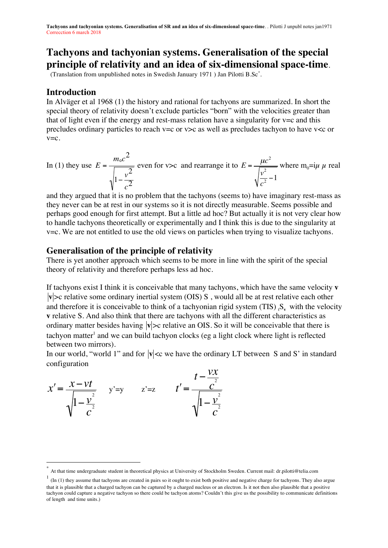# **Tachyons and tachyonian systems. Generalisation of the special principle of relativity and an idea of six-dimensional space-time**.

(Translation from unpublished notes in Swedish January 1971 ) Jan Pilotti B.Sc\* .

### **Introduction**

In Alväger et al 1968 (1) the history and rational for tachyons are summarized. In short the special theory of relativity doesn't exclude particles "born" with the velocities greater than that of light even if the energy and rest-mass relation have a singularity for  $v=c$  and this precludes ordinary particles to reach v=c or v>c as well as precludes tachyon to have v<c or v=c.

In (1) they use 
$$
E = \frac{m_0 c^2}{\sqrt{1 - \frac{v^2}{c^2}}}
$$
 even for v>c and rearrange it to  $E = \frac{\mu c^2}{\sqrt{\frac{v^2}{c^2} - 1}}$  where  $m_0 = \frac{v}{\mu}$  real

to handle tachyons theoretically or experimentally and I think this is due to the singularity at and they argued that it is no problem that the tachyons (seems to) have imaginary rest-mass as they never can be at rest in our systems so it is not directly measurable. Seems possible and perhaps good enough for first attempt. But a little ad hoc? But actually it is not very clear how v=c. We are not entitled to use the old views on particles when trying to visualize tachyons.

### **Generalisation of the principle of relativity**

There is yet another approach which seems to be more in line with the spirit of the special theory of relativity and therefore perhaps less ad hoc.

If tachyons exist I think it is conceivable that many tachyons, which have the same velocity **v v**  $\infty$  relative some ordinary inertial system (OIS) S, would all be at rest relative each other and therefore it is conceivable to think of a tachyonian rigid system  $(TIS)_{t}S_{v}$  with the velocity **v** relative S. And also think that there are tachyons with all the different characteristics as ordinary matter besides having  $|v| > c$  relative an OIS. So it will be conceivable that there is tachyon matter<sup>1</sup> and we can build tachyon clocks (eg a light clock where light is reflected between two mirrors).

In our world, "world 1" and for  $|v|<$ c we have the ordinary LT between S and S' in standard configuration

$$
x' = \frac{x - vt}{\sqrt{1 - \frac{v^2}{c^2}}}
$$
 y'=y z'=z t' =  $\frac{t - \frac{vx}{c^2}}{\sqrt{1 - \frac{v^2}{c^2}}}$ 

At that time undergraduate student in theoretical physics at University of Stockholm Sweden. Current mail: dr.pilotti@telia.com

 $\frac{1}{1}$  (In (1) they assume that tachyons are created in pairs so it ought to exist both positive and negative charge for tachyons. They also argue that it is plausible that a charged tachyon can be captured by a charged nucleus or an electron. Is it not then also plausible that a positive tachyon could capture a negative tachyon so there could be tachyon atoms? Couldn't this give us the possibility to communicate definitions of length and time units.)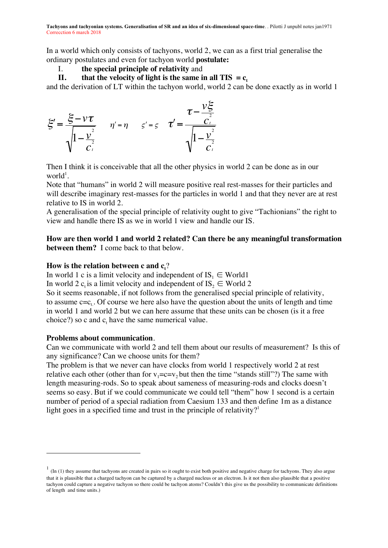In a world which only consists of tachyons, world 2, we can as a first trial generalise the ordinary postulates and even for tachyon world **postulate:**

I. **the special principle of relativity** and

**II. that the velocity of light is the same in all TIS =**  $c_t$ **.** 

and the derivation of LT within the tachyon world, world 2 can be done exactly as in world 1

$$
\xi' = \frac{\xi - \nu \tau}{\sqrt{1 - \frac{v^2}{c^2}}} \qquad \eta' = \eta \qquad \varsigma' = \varsigma \qquad \tau' = \frac{\tau - \frac{v\xi}{c^2}}{\sqrt{1 - \frac{v^2}{c^2}}}
$$

Then I think it is conceivable that all the other physics in world 2 can be done as in our  $world<sup>1</sup>$ .

Note that "humans" in world 2 will measure positive real rest-masses for their particles and will describe imaginary rest-masses for the particles in world 1 and that they never are at rest relative to IS in world 2.

A generalisation of the special principle of relativity ought to give "Tachionians" the right to view and handle there IS as we in world 1 view and handle our IS.

### **How are then world 1 and world 2 related? Can there be any meaningful transformation between them?** I come back to that below.

## How is the relation between **c** and  $\mathbf{c}_\mathrm{t}$ ?

In world 1 c is a limit velocity and independent of  $IS_1 \in World1$ 

In world 2  $c_t$  is a limit velocity and independent of  $IS_2 \in$  World 2

in world 1 and world 2 but we can here assume that these units can be chosen (is it a free choice?) so c and  $c_t$  have the same numerical value. So it seems reasonable, if not follows from the generalised special principle of relativity, to assume  $c=c_t$ . Of course we here also have the question about the units of length and time

### **Problems about communication**.

 $\overline{a}$ 

Can we communicate with world 2 and tell them about our results of measurement? Is this of any significance? Can we choose units for them?

The problem is that we never can have clocks from world 1 respectively world 2 at rest relative each other (other than for  $v_1 = c = v_2$  but then the time "stands still"?) The same with length measuring-rods. So to speak about sameness of measuring-rods and clocks doesn't seems so easy. But if we could communicate we could tell "them" how 1 second is a certain number of period of a special radiation from Caesium 133 and then define 1m as a distance light goes in a specified time and trust in the principle of relativity?<sup>1</sup>

 $1$  (In (1) they assume that tachyons are created in pairs so it ought to exist both positive and negative charge for tachyons. They also argue that it is plausible that a charged tachyon can be captured by a charged nucleus or an electron. Is it not then also plausible that a positive tachyon could capture a negative tachyon so there could be tachyon atoms? Couldn't this give us the possibility to communicate definitions of length and time units.)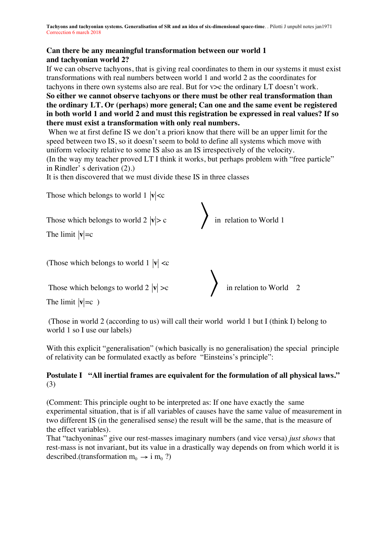### **Can there be any meaningful transformation between our world 1 and tachyonian world 2?**

If we can observe tachyons, that is giving real coordinates to them in our systems it must exist transformations with real numbers between world 1 and world 2 as the coordinates for tachyons in there own systems also are real. But for v>c the ordinary LT doesn't work.

**So either we cannot observe tachyons or there must be other real transformation than the ordinary LT. Or (perhaps) more general; Can one and the same event be registered in both world 1 and world 2 and must this registration be expressed in real values? If so there must exist a transformation with only real numbers.**

When we at first define IS we don't a priori know that there will be an upper limit for the speed between two IS, so it doesn't seem to bold to define all systems which move with uniform velocity relative to some IS also as an IS irrespectively of the velocity.

(In the way my teacher proved LT I think it works, but perhaps problem with "free particle" in Rindler' s derivation (2).)

It is then discovered that we must divide these IS in three classes

Those which belongs to world  $1 |v| < c$ Those which belongs to world  $2 |v| > c$ (Those which belongs to world  $1 |v| < c$ 〉 in relation to World 1 The limit  $|v|=c$ € Those which belongs to world  $2 |v| > c$ in relation to World  $2$ The limit  $|v|=c$ )

(Those in world 2 (according to us) will call their world world 1 but I (think I) belong to world 1 so I use our labels) world 1 so I use our labels)

With this explicit "generalisation" (which basically is no generalisation) the special principle of relativity can be formulated exactly as before "Einsteins's principle":

### **Postulate I "All inertial frames are equivalent for the formulation of all physical laws."** (3)

(Comment: This principle ought to be interpreted as: If one have exactly the same experimental situation, that is if all variables of causes have the same value of measurement in two different IS (in the generalised sense) the result will be the same, that is the measure of the effect variables).

That "tachyoninas" give our rest-masses imaginary numbers (and vice versa) *just shows* that rest-mass is not invariant, but its value in a drastically way depends on from which world it is described.(transformation  $m_0 \rightarrow i m_0$ ?)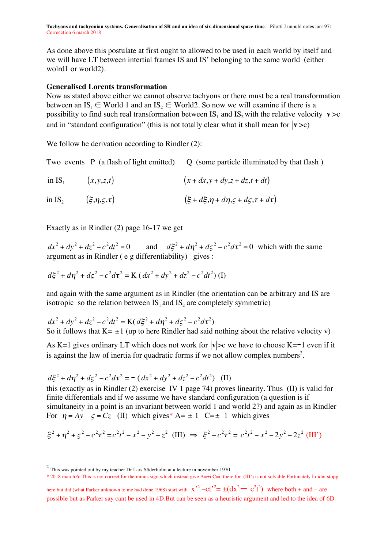As done above this postulate at first ought to allowed to be used in each world by itself and we will have LT between intertial frames IS and IS' belonging to the same world (either wolrd1 or world2).

#### **Generalised Lorents transformation**

Now as stated above either we cannot observe tachyons or there must be a real transformation between an IS<sub>1</sub>  $\in$  World 1 and an IS<sub>2</sub>  $\in$  World2. So now we will examine if there is a possibility to find such real transformation between  $IS_1$  and  $IS_2$  with the relative velocity  $|v|>c$ and in "standard configuration" (this is not totally clear what it shall mean for  $|{\bf v}|>c)$ 

ential de la construction de la construction de la construction de la construction de la construction de la co<br>La construction de la construction de la construction de la construction de la construction de la construction We follow he derivation according to Rindler (2):

O (some particle illuminated by that flash) Two events  $P$  (a flash of light emitted)

in IS<sub>1</sub> 
$$
(x,y,z,t)
$$
  $(x+dx,y+dy,z+dz,t+dt)$ 

in IS<sub>2</sub>  $(\xi, \eta, \zeta, \tau)$  $(\xi + d\xi, \eta + d\eta, \zeta + d\zeta, \tau + d\tau)$ 

Exactly as in Rindler (2) page 16-17 we get

 $dx^2 + dy^2 + dz^2 - c^2 dt^2 = 0$  and  $d\xi^2 + d\eta^2 + d\zeta^2 - c^2 d\tau^2 = 0$  which with the same argument as in Rindler ( e g differentiability) gives :

$$
d\xi^{2} + d\eta^{2} + d\zeta^{2} - c^{2}d\tau^{2} = \mathbf{K} (dx^{2} + dy^{2} + dz^{2} - c^{2}dt^{2})
$$
 (I)

and again with the same argument as in Rindler (the orientation can be arbitrary and IS are isotropic so the relation between  $IS_1$  and  $IS_2$  are completely symmetric)

$$
dx^{2} + dy^{2} + dz^{2} - c^{2}dt^{2} = K(d\xi^{2} + d\eta^{2} + d\zeta^{2} - c^{2}d\tau^{2})
$$
  
So it follows that K= ±1 (up to here Rindler had said nothing about the relative velocity v)

is against the law of inertia for quadratic forms if we not allow complex numbers<sup>2</sup>. As K=1 gives ordinary LT which does not work for  $|v|>c$  we have to choose K=-1 even if it

$$
d\xi^{2} + d\eta^{2} + d\zeta^{2} - c^{2}d\tau^{2} = -(dx^{2} + dy^{2} + dz^{2} - c^{2}dt^{2})
$$
 (II)

For  $\eta = Ay$   $\zeta = Cz$  (II) which gives<sup>\*</sup> A= ± 1 C=± 1 which gives this (exactly as in Rindler (2) exercise IV 1 page 74) proves linearity. Thus (II) is valid for finite differentials and if we assume we have standard configuration (a question is if simultaneity in a point is an invariant between world 1 and world 2?) and again as in Rindler

$$
\xi^2 + \eta^2 + \zeta^2 - c^2 \tau^2 = c^2 t^2 - x^2 - y^2 - z^2 \quad \text{(III)} \implies \xi^2 - c^2 \tau^2 = c^2 t^2 - x^2 - 2y^2 - 2z^2 \quad \text{(III')}
$$

\* 2018 march 6: This is not correct for the minus sign which instead give A=±i C=i there for (III') is not solvable Fortunately I didnt stopp

here but did (what Parker unknown to me had done 1968) start with  $x^2 - ct^2 = \pm(dx^2 - c^2t^2)$  where both + and – are possible but as Parker say cant be used in 4D.But can be seen as a heuristic argument and led to the idea of 6D

era<br>
<sup>2</sup> This was pointed out by my teacher Dr Lars Söderholm at a lecture in november 1970